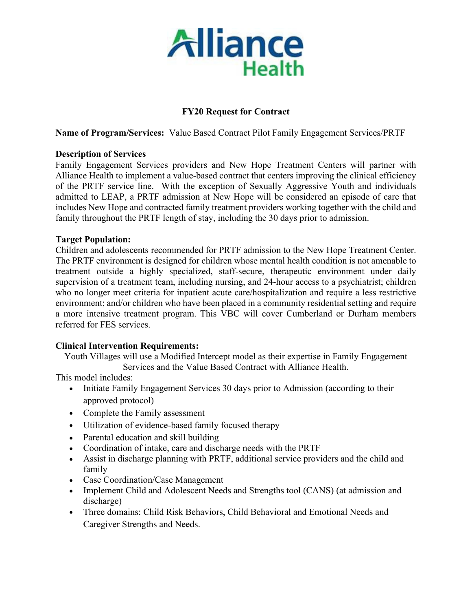

## **FY20 Request for Contract**

**Name of Program/Services:** Value Based Contract Pilot Family Engagement Services/PRTF

#### **Description of Services**

Family Engagement Services providers and New Hope Treatment Centers will partner with Alliance Health to implement a value-based contract that centers improving the clinical efficiency of the PRTF service line. With the exception of Sexually Aggressive Youth and individuals admitted to LEAP, a PRTF admission at New Hope will be considered an episode of care that includes New Hope and contracted family treatment providers working together with the child and family throughout the PRTF length of stay, including the 30 days prior to admission.

### **Target Population:**

Children and adolescents recommended for PRTF admission to the New Hope Treatment Center. The PRTF environment is designed for children whose mental health condition is not amenable to treatment outside a highly specialized, staff-secure, therapeutic environment under daily supervision of a treatment team, including nursing, and 24-hour access to a psychiatrist; children who no longer meet criteria for inpatient acute care/hospitalization and require a less restrictive environment; and/or children who have been placed in a community residential setting and require a more intensive treatment program. This VBC will cover Cumberland or Durham members referred for FES services.

## **Clinical Intervention Requirements:**

Youth Villages will use a Modified Intercept model as their expertise in Family Engagement

Services and the Value Based Contract with Alliance Health.

This model includes:

- Initiate Family Engagement Services 30 days prior to Admission (according to their approved protocol)
- Complete the Family assessment
- Utilization of evidence-based family focused therapy
- Parental education and skill building
- Coordination of intake, care and discharge needs with the PRTF
- Assist in discharge planning with PRTF, additional service providers and the child and family
- Case Coordination/Case Management
- Implement Child and Adolescent Needs and Strengths tool (CANS) (at admission and discharge)
- Three domains: Child Risk Behaviors, Child Behavioral and Emotional Needs and Caregiver Strengths and Needs.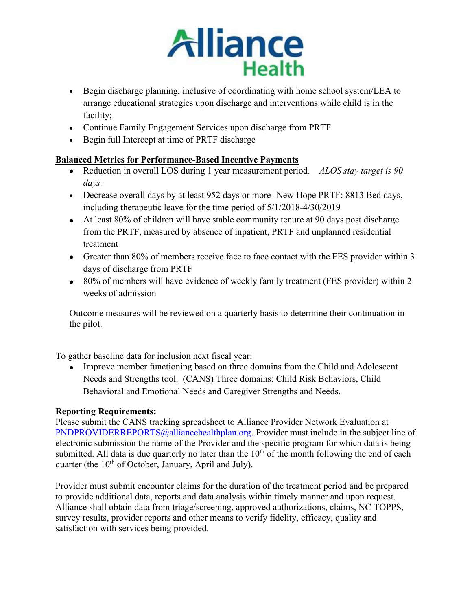

- Begin discharge planning, inclusive of coordinating with home school system/LEA to arrange educational strategies upon discharge and interventions while child is in the facility;
- Continue Family Engagement Services upon discharge from PRTF
- Begin full Intercept at time of PRTF discharge

## **Balanced Metrics for Performance-Based Incentive Payments**

- Reduction in overall LOS during 1 year measurement period. *ALOS stay target is 90 days.*
- Decrease overall days by at least 952 days or more- New Hope PRTF: 8813 Bed days, including therapeutic leave for the time period of 5/1/2018-4/30/2019
- At least 80% of children will have stable community tenure at 90 days post discharge from the PRTF, measured by absence of inpatient, PRTF and unplanned residential treatment
- Greater than 80% of members receive face to face contact with the FES provider within 3 days of discharge from PRTF
- 80% of members will have evidence of weekly family treatment (FES provider) within 2 weeks of admission

Outcome measures will be reviewed on a quarterly basis to determine their continuation in the pilot.

To gather baseline data for inclusion next fiscal year:

• Improve member functioning based on three domains from the Child and Adolescent Needs and Strengths tool. (CANS) Three domains: Child Risk Behaviors, Child Behavioral and Emotional Needs and Caregiver Strengths and Needs.

# **Reporting Requirements:**

Please submit the CANS tracking spreadsheet to Alliance Provider Network Evaluation at [PNDPROVIDERREPORTS@alliancehealthplan.org.](mailto:PNDPROVIDERREPORTS@alliancehealthplan.org) Provider must include in the subject line of electronic submission the name of the Provider and the specific program for which data is being submitted. All data is due quarterly no later than the  $10<sup>th</sup>$  of the month following the end of each quarter (the 10<sup>th</sup> of October, January, April and July).

Provider must submit encounter claims for the duration of the treatment period and be prepared to provide additional data, reports and data analysis within timely manner and upon request. Alliance shall obtain data from triage/screening, approved authorizations, claims, NC TOPPS, survey results, provider reports and other means to verify fidelity, efficacy, quality and satisfaction with services being provided.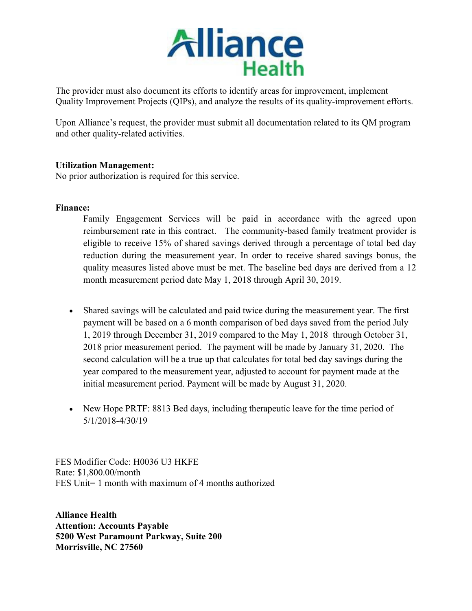

The provider must also document its efforts to identify areas for improvement, implement Quality Improvement Projects (QIPs), and analyze the results of its quality-improvement efforts.

Upon Alliance's request, the provider must submit all documentation related to its QM program and other quality-related activities.

### **Utilization Management:**

No prior authorization is required for this service.

### **Finance:**

Family Engagement Services will be paid in accordance with the agreed upon reimbursement rate in this contract.The community-based family treatment provider is eligible to receive 15% of shared savings derived through a percentage of total bed day reduction during the measurement year. In order to receive shared savings bonus, the quality measures listed above must be met. The baseline bed days are derived from a 12 month measurement period date May 1, 2018 through April 30, 2019.

- Shared savings will be calculated and paid twice during the measurement year. The first payment will be based on a 6 month comparison of bed days saved from the period July 1, 2019 through December 31, 2019 compared to the May 1, 2018 through October 31, 2018 prior measurement period. The payment will be made by January 31, 2020. The second calculation will be a true up that calculates for total bed day savings during the year compared to the measurement year, adjusted to account for payment made at the initial measurement period. Payment will be made by August 31, 2020.
- New Hope PRTF: 8813 Bed days, including the rapeutic leave for the time period of 5/1/2018-4/30/19

FES Modifier Code: H0036 U3 HKFE Rate: \$1,800.00/month FES Unit= 1 month with maximum of 4 months authorized

**Alliance Health Attention: Accounts Payable 5200 West Paramount Parkway, Suite 200 Morrisville, NC 27560**